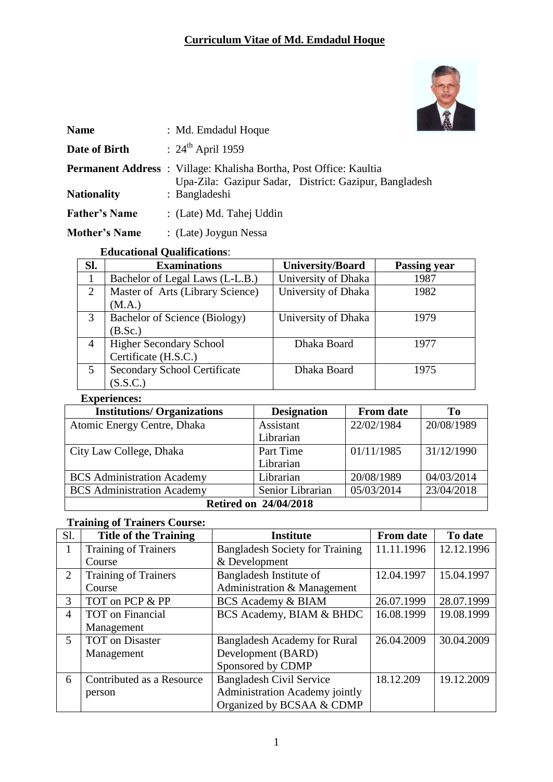

| <b>Name</b>          | : Md. Emdadul Hoque                                                                                                                 |
|----------------------|-------------------------------------------------------------------------------------------------------------------------------------|
| Date of Birth        | : $24^{\text{th}}$ April 1959                                                                                                       |
|                      | <b>Permanent Address</b> : Village: Khalisha Bortha, Post Office: Kaultia<br>Upa-Zila: Gazipur Sadar, District: Gazipur, Bangladesh |
| <b>Nationality</b>   | : Bangladeshi                                                                                                                       |
| <b>Father's Name</b> | : (Late) Md. Tahej Uddin                                                                                                            |
| <b>Mother's Name</b> | : (Late) Joygun Nessa                                                                                                               |

#### **Educational Qualifications**:

| SI.            | <b>Examinations</b>                 | <b>University/Board</b> | <b>Passing year</b> |
|----------------|-------------------------------------|-------------------------|---------------------|
|                | Bachelor of Legal Laws (L-L.B.)     | University of Dhaka     | 1987                |
| $\overline{2}$ | Master of Arts (Library Science)    | University of Dhaka     | 1982                |
|                | (M.A.)                              |                         |                     |
| 3              | Bachelor of Science (Biology)       | University of Dhaka     | 1979                |
|                | (B.Sc.)                             |                         |                     |
| 4              | Higher Secondary School             | Dhaka Board             | 1977                |
|                | Certificate (H.S.C.)                |                         |                     |
| 5              | <b>Secondary School Certificate</b> | Dhaka Board             | 1975                |
|                | (S.S.C.)                            |                         |                     |

### **Experiences:**

| <b>Institutions/ Organizations</b> | <b>Designation</b> | <b>From date</b> | T <sub>0</sub> |
|------------------------------------|--------------------|------------------|----------------|
| Atomic Energy Centre, Dhaka        | Assistant          | 22/02/1984       | 20/08/1989     |
|                                    | Librarian          |                  |                |
| City Law College, Dhaka            | Part Time          | 01/11/1985       | 31/12/1990     |
|                                    | Librarian          |                  |                |
| <b>BCS</b> Administration Academy  | Librarian          | 20/08/1989       | 04/03/2014     |
| <b>BCS</b> Administration Academy  | Senior Librarian   | 05/03/2014       | 23/04/2018     |
| <b>Retired on 24/04/2018</b>       |                    |                  |                |

#### **Training of Trainers Course:**

| Sl.                     | <b>Title of the Training</b> | <b>Institute</b>                       | <b>From date</b> | To date    |
|-------------------------|------------------------------|----------------------------------------|------------------|------------|
| $\mathbf{I}$            | <b>Training of Trainers</b>  | <b>Bangladesh Society for Training</b> | 11.11.1996       | 12.12.1996 |
|                         | Course                       | & Development                          |                  |            |
| $\overline{2}$          | Training of Trainers         | Bangladesh Institute of                | 12.04.1997       | 15.04.1997 |
|                         | Course                       | Administration & Management            |                  |            |
| 3                       | TOT on PCP & PP              | <b>BCS Academy &amp; BIAM</b>          | 26.07.1999       | 28.07.1999 |
| 4                       | <b>TOT</b> on Financial      | BCS Academy, BIAM & BHDC               | 16.08.1999       | 19.08.1999 |
|                         | Management                   |                                        |                  |            |
| $\overline{\mathbf{5}}$ | <b>TOT</b> on Disaster       | <b>Bangladesh Academy for Rural</b>    | 26.04.2009       | 30.04.2009 |
|                         | Management                   | Development (BARD)                     |                  |            |
|                         |                              | Sponsored by CDMP                      |                  |            |
| 6                       | Contributed as a Resource    | <b>Bangladesh Civil Service</b>        | 18.12.209        | 19.12.2009 |
|                         | person                       | <b>Administration Academy jointly</b>  |                  |            |
|                         |                              | Organized by BCSAA & CDMP              |                  |            |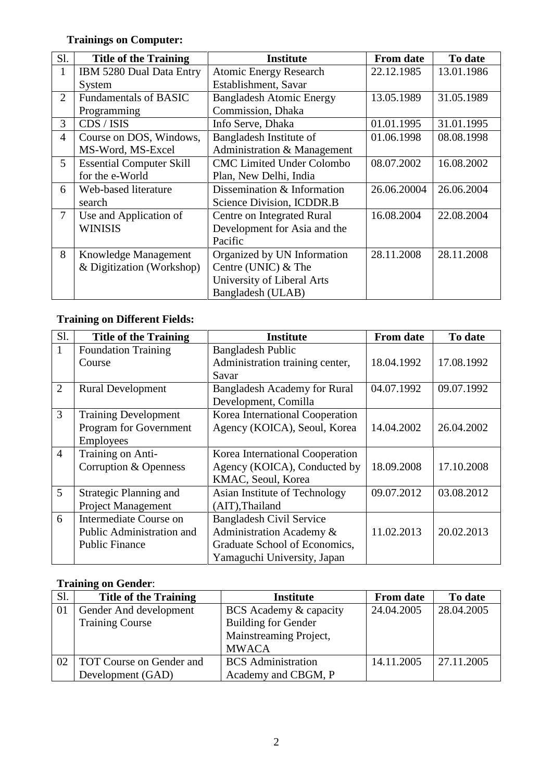# **Trainings on Computer:**

| Sl.            | <b>Title of the Training</b>    | <b>Institute</b>                 | <b>From date</b> | To date    |
|----------------|---------------------------------|----------------------------------|------------------|------------|
| 1              | IBM 5280 Dual Data Entry        | <b>Atomic Energy Research</b>    | 22.12.1985       | 13.01.1986 |
|                | System                          | Establishment, Savar             |                  |            |
| $\overline{2}$ | <b>Fundamentals of BASIC</b>    | <b>Bangladesh Atomic Energy</b>  | 13.05.1989       | 31.05.1989 |
|                | Programming                     | Commission, Dhaka                |                  |            |
| 3              | CDS / ISIS                      | Info Serve, Dhaka                | 01.01.1995       | 31.01.1995 |
| $\overline{4}$ | Course on DOS, Windows,         | Bangladesh Institute of          | 01.06.1998       | 08.08.1998 |
|                | MS-Word, MS-Excel               | Administration & Management      |                  |            |
| 5              | <b>Essential Computer Skill</b> | <b>CMC Limited Under Colombo</b> | 08.07.2002       | 16.08.2002 |
|                | for the e-World                 | Plan, New Delhi, India           |                  |            |
| 6              | Web-based literature            | Dissemination & Information      | 26.06.20004      | 26.06.2004 |
|                | search                          | Science Division, ICDDR.B        |                  |            |
| 7              | Use and Application of          | Centre on Integrated Rural       | 16.08.2004       | 22.08.2004 |
|                | <b>WINISIS</b>                  | Development for Asia and the     |                  |            |
|                |                                 | Pacific                          |                  |            |
| 8              | Knowledge Management            | Organized by UN Information      | 28.11.2008       | 28.11.2008 |
|                | & Digitization (Workshop)       | Centre (UNIC) & The              |                  |            |
|                |                                 | University of Liberal Arts       |                  |            |
|                |                                 | Bangladesh (ULAB)                |                  |            |

# **Training on Different Fields:**

| Sl.             | <b>Title of the Training</b> | <b>Institute</b>                    | <b>From date</b> | To date    |
|-----------------|------------------------------|-------------------------------------|------------------|------------|
|                 | <b>Foundation Training</b>   | <b>Bangladesh Public</b>            |                  |            |
|                 | Course                       | Administration training center,     | 18.04.1992       | 17.08.1992 |
|                 |                              | Savar                               |                  |            |
| $\overline{2}$  | <b>Rural Development</b>     | <b>Bangladesh Academy for Rural</b> | 04.07.1992       | 09.07.1992 |
|                 |                              | Development, Comilla                |                  |            |
| 3               | <b>Training Development</b>  | Korea International Cooperation     |                  |            |
|                 | Program for Government       | Agency (KOICA), Seoul, Korea        | 14.04.2002       | 26.04.2002 |
|                 | Employees                    |                                     |                  |            |
| $\overline{4}$  | Training on Anti-            | Korea International Cooperation     |                  |            |
|                 | Corruption & Openness        | Agency (KOICA), Conducted by        | 18.09.2008       | 17.10.2008 |
|                 |                              | KMAC, Seoul, Korea                  |                  |            |
| $5\overline{)}$ | Strategic Planning and       | Asian Institute of Technology       | 09.07.2012       | 03.08.2012 |
|                 | <b>Project Management</b>    | (AIT), Thailand                     |                  |            |
| 6               | Intermediate Course on       | <b>Bangladesh Civil Service</b>     |                  |            |
|                 | Public Administration and    | Administration Academy &            | 11.02.2013       | 20.02.2013 |
|                 | <b>Public Finance</b>        | Graduate School of Economics,       |                  |            |
|                 |                              | Yamaguchi University, Japan         |                  |            |

# **Training on Gender**:

| Sl. | <b>Title of the Training</b> | <b>Institute</b>           | <b>From date</b> | To date    |
|-----|------------------------------|----------------------------|------------------|------------|
| 01  | Gender And development       | BCS Academy & capacity     | 24.04.2005       | 28.04.2005 |
|     | <b>Training Course</b>       | <b>Building for Gender</b> |                  |            |
|     |                              | Mainstreaming Project,     |                  |            |
|     |                              | <b>MWACA</b>               |                  |            |
| 02  | TOT Course on Gender and     | <b>BCS</b> Administration  | 14.11.2005       | 27.11.2005 |
|     | Development (GAD)            | Academy and CBGM, P        |                  |            |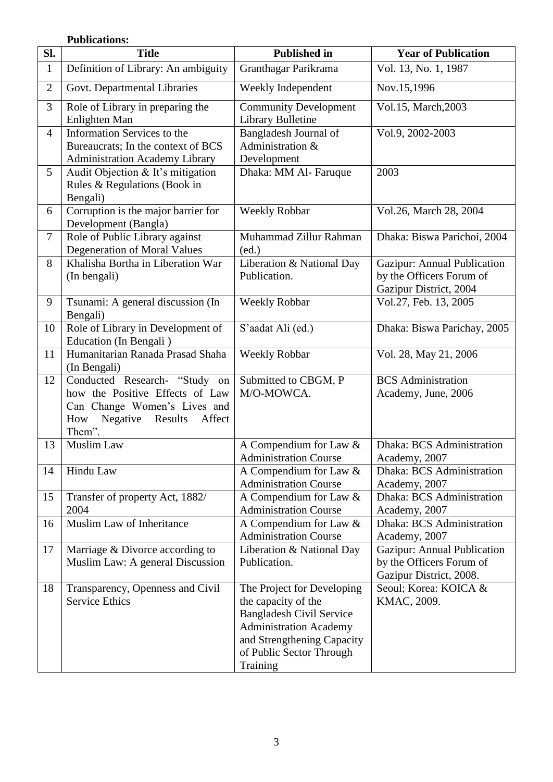#### **Publications:**

| SI.            | <b>Title</b>                                  | <b>Published in</b>                                    | <b>Year of Publication</b>  |
|----------------|-----------------------------------------------|--------------------------------------------------------|-----------------------------|
| $\mathbf{1}$   | Definition of Library: An ambiguity           | Granthagar Parikrama                                   | Vol. 13, No. 1, 1987        |
| $\overline{2}$ | Govt. Departmental Libraries                  | Weekly Independent                                     | Nov.15,1996                 |
| 3              | Role of Library in preparing the              | <b>Community Development</b>                           | Vol.15, March, 2003         |
|                | Enlighten Man                                 | <b>Library Bulletine</b>                               |                             |
| $\overline{4}$ | <b>Information Services to the</b>            | Bangladesh Journal of                                  | Vol.9, 2002-2003            |
|                | Bureaucrats; In the context of BCS            | Administration &                                       |                             |
|                | <b>Administration Academy Library</b>         | Development                                            |                             |
| 5              | Audit Objection & It's mitigation             | Dhaka: MM Al-Faruque                                   | 2003                        |
|                | Rules & Regulations (Book in<br>Bengali)      |                                                        |                             |
| 6              | Corruption is the major barrier for           | <b>Weekly Robbar</b>                                   | Vol.26, March 28, 2004      |
|                | Development (Bangla)                          |                                                        |                             |
| $\tau$         | Role of Public Library against                | Muhammad Zillur Rahman                                 | Dhaka: Biswa Parichoi, 2004 |
|                | Degeneration of Moral Values                  | (ed.)                                                  |                             |
| 8              | Khalisha Bortha in Liberation War             | Liberation & National Day                              | Gazipur: Annual Publication |
|                | (In bengali)                                  | Publication.                                           | by the Officers Forum of    |
|                |                                               |                                                        | Gazipur District, 2004      |
| 9              | Tsunami: A general discussion (In             | <b>Weekly Robbar</b>                                   | Vol.27, Feb. 13, 2005       |
| 10             | Bengali)<br>Role of Library in Development of | S'aadat Ali (ed.)                                      | Dhaka: Biswa Parichay, 2005 |
|                | Education (In Bengali)                        |                                                        |                             |
| 11             | Humanitarian Ranada Prasad Shaha              | <b>Weekly Robbar</b>                                   | Vol. 28, May 21, 2006       |
|                | (In Bengali)                                  |                                                        |                             |
| 12             | Conducted Research- "Study<br>on              | Submitted to CBGM, P                                   | <b>BCS</b> Administration   |
|                | how the Positive Effects of Law               | M/O-MOWCA.                                             | Academy, June, 2006         |
|                | Can Change Women's Lives and                  |                                                        |                             |
|                | Negative<br>Affect<br>How<br>Results          |                                                        |                             |
| 13             | Them".<br>Muslim Law                          |                                                        | Dhaka: BCS Administration   |
|                |                                               | A Compendium for Law &<br><b>Administration Course</b> | Academy, 2007               |
| 14             | Hindu Law                                     | A Compendium for Law &                                 | Dhaka: BCS Administration   |
|                |                                               | <b>Administration Course</b>                           | Academy, 2007               |
| 15             | Transfer of property Act, 1882/               | A Compendium for Law &                                 | Dhaka: BCS Administration   |
|                | 2004                                          | <b>Administration Course</b>                           | Academy, 2007               |
| 16             | Muslim Law of Inheritance                     | A Compendium for Law &                                 | Dhaka: BCS Administration   |
|                |                                               | <b>Administration Course</b>                           | Academy, 2007               |
| 17             | Marriage & Divorce according to               | Liberation & National Day                              | Gazipur: Annual Publication |
|                | Muslim Law: A general Discussion              | Publication.                                           | by the Officers Forum of    |
|                |                                               |                                                        | Gazipur District, 2008.     |
| 18             | Transparency, Openness and Civil              | The Project for Developing                             | Seoul; Korea: KOICA &       |
|                | <b>Service Ethics</b>                         | the capacity of the<br><b>Bangladesh Civil Service</b> | KMAC, 2009.                 |
|                |                                               | <b>Administration Academy</b>                          |                             |
|                |                                               | and Strengthening Capacity                             |                             |
|                |                                               | of Public Sector Through                               |                             |
|                |                                               | Training                                               |                             |